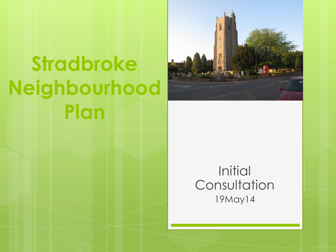# **Stradbroke Neighbourhood Plan**



#### **Initial Consultation** 19May14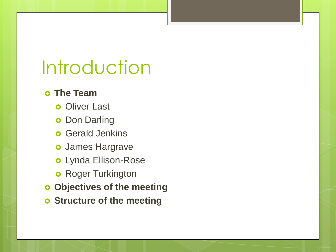## Introduction

#### **The Team**

- **o** Oliver Last
- **o** Don Darling
- **o** Gerald Jenkins
- James Hargrave
- Lynda Ellison-Rose
- **o** Roger Turkington
- **Objectives of the meeting**
- **o** Structure of the meeting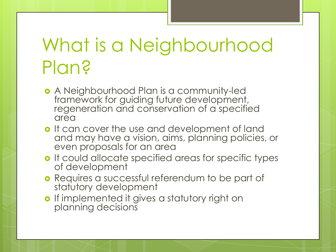# What is a Neighbourhood Plan?

- A Neighbourhood Plan is a community-led framework for guiding future development, regeneration and conservation of a specified area
- o It can cover the use and development of land and may have a vision, aims, planning policies, or even proposals for an area
- o It could allocate specified areas for specific types of development
- **o** Requires a successful referendum to be part of statutory development
- o If implemented it gives a statutory right on planning decisions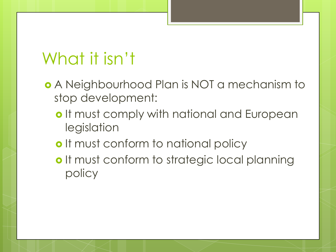#### What it isn't

- A Neighbourhood Plan is NOT a mechanism to stop development:
	- o It must comply with national and European legislation
	- o It must conform to national policy
	- o It must conform to strategic local planning policy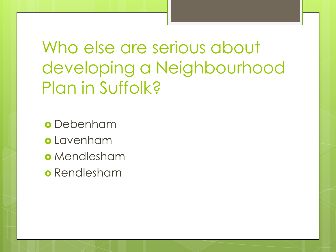Who else are serious about developing a Neighbourhood Plan in Suffolk?

Debenham

- Lavenham
- o Mendlesham
- **o** Rendlesham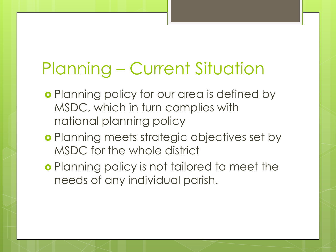### Planning – Current Situation

- **o** Planning policy for our area is defined by MSDC, which in turn complies with national planning policy
- **o** Planning meets strategic objectives set by MSDC for the whole district
- **o** Planning policy is not tailored to meet the needs of any individual parish.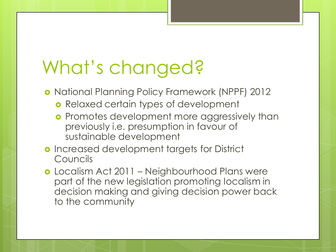# What's changed?

- **o** National Planning Policy Framework (NPPF) 2012
	- **o** Relaxed certain types of development
	- **o** Promotes development more aggressively than previously i.e. presumption in favour of sustainable development
- o Increased development targets for District Councils
- **o** Localism Act 2011 Neighbourhood Plans were part of the new legislation promoting localism in decision making and giving decision power back to the community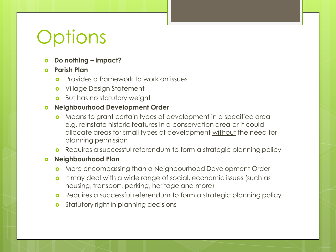# **Options**

- **Do nothing – impact?**
- **Parish Plan**
	- Provides a framework to work on issues
	- Village Design Statement
	- **o** But has no statutory weight

#### **Neighbourhood Development Order**

- Means to grant certain types of development in a specified area e.g. reinstate historic features in a conservation area or it could allocate areas for small types of development without the need for planning permission
- **o** Requires a successful referendum to form a strategic planning policy
- **Neighbourhood Plan**
	- More encompassing than a Neighbourhood Development Order
	- **o** It may deal with a wide range of social, economic issues (such as housing, transport, parking, heritage and more)
	- **o** Requires a successful referendum to form a strategic planning policy
	- **o** Statutory right in planning decisions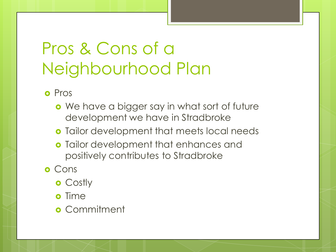### Pros & Cons of a Neighbourhood Plan

**o** Pros

- **o** We have a bigger say in what sort of future development we have in Stradbroke
- **o** Tailor development that meets local needs
- **o** Tailor development that enhances and positively contributes to Stradbroke
- **o** Cons
	- **o** Costly
	- **o** Time
	- **o** Commitment